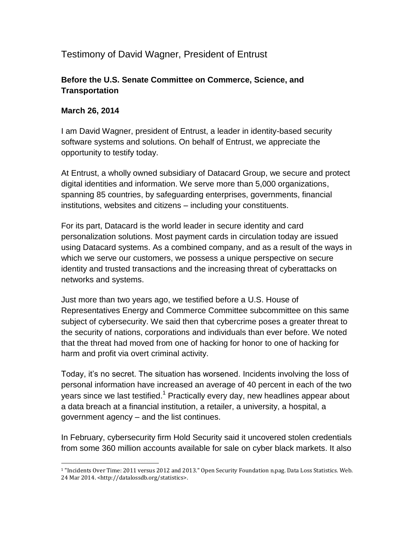# Testimony of David Wagner, President of Entrust

## **Before the U.S. Senate Committee on Commerce, Science, and Transportation**

#### **March 26, 2014**

I am David Wagner, president of Entrust, a leader in identity-based security software systems and solutions. On behalf of Entrust, we appreciate the opportunity to testify today.

At Entrust, a wholly owned subsidiary of Datacard Group, we secure and protect digital identities and information. We serve more than 5,000 organizations, spanning 85 countries, by safeguarding enterprises, governments, financial institutions, websites and citizens – including your constituents.

For its part, Datacard is the world leader in secure identity and card personalization solutions. Most payment cards in circulation today are issued using Datacard systems. As a combined company, and as a result of the ways in which we serve our customers, we possess a unique perspective on secure identity and trusted transactions and the increasing threat of cyberattacks on networks and systems.

Just more than two years ago, we testified before a U.S. House of Representatives Energy and Commerce Committee subcommittee on this same subject of cybersecurity. We said then that cybercrime poses a greater threat to the security of nations, corporations and individuals than ever before. We noted that the threat had moved from one of hacking for honor to one of hacking for harm and profit via overt criminal activity.

Today, it's no secret. The situation has worsened. Incidents involving the loss of personal information have increased an average of 40 percent in each of the two years since we last testified.<sup>1</sup> Practically every day, new headlines appear about a data breach at a financial institution, a retailer, a university, a hospital, a government agency – and the list continues.

In February, cybersecurity firm Hold Security said it uncovered stolen credentials from some 360 million accounts available for sale on cyber black markets. It also

 $\overline{\phantom{a}}$ <sup>1</sup> "Incidents Over Time: 2011 versus 2012 and 2013." Open Security Foundation n.pag. Data Loss Statistics. Web. 24 Mar 2014. <http://datalossdb.org/statistics>.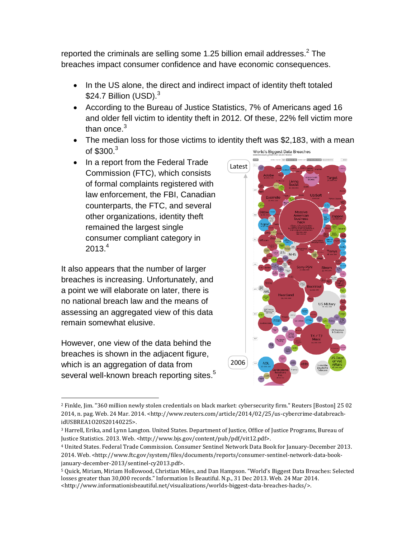reported the criminals are selling some 1.25 billion email addresses. $2$  The breaches impact consumer confidence and have economic consequences.

- In the US alone, the direct and indirect impact of identity theft totaled \$24.7 Billion  $(USD)^3$
- <span id="page-1-0"></span> According to the Bureau of Justice Statistics, 7% of Americans aged 16 and older fell victim to identity theft in 2012. Of these, 22% fell victim more than once. $3$
- The median loss for those victims to identity theft was \$2,183, with a mean of  $$300.<sup>3</sup>$  $$300.<sup>3</sup>$  $$300.<sup>3</sup>$ World's Biggest Data Breaches
- In a report from the Federal Trade Commission (FTC), which consists of formal complaints registered with law enforcement, the FBI, Canadian counterparts, the FTC, and several other organizations, identity theft remained the largest single consumer compliant category in  $2013.<sup>4</sup>$

It also appears that the number of larger breaches is increasing. Unfortunately, and a point we will elaborate on later, there is no national breach law and the means of assessing an aggregated view of this data remain somewhat elusive.

However, one view of the data behind the breaches is shown in the adjacent figure, which is an aggregation of data from several well-known breach reporting sites.<sup>5</sup>

l



<sup>2</sup> Finkle, Jim. "360 million newly stolen credentials on black market: cybersecurity firm." Reuters [Boston] 25 02 2014, n. pag. Web. 24 Mar. 2014. <http://www.reuters.com/article/2014/02/25/us-cybercrime-databreachidUSBREA1O20S20140225>.

<sup>&</sup>lt;sup>3</sup> Harrell, Erika, and Lynn Langton. United States. Department of Justice, Office of Justice Programs, Bureau of Justice Statistics. 2013. Web. <http://www.bjs.gov/content/pub/pdf/vit12.pdf>.

<sup>4</sup> United States. Federal Trade Commission. Consumer Sentinel Network Data Book for January-December 2013. 2014. Web. <http://www.ftc.gov/system/files/documents/reports/consumer-sentinel-network-data-bookjanuary-december-2013/sentinel-cy2013.pdf>.

<sup>5</sup> Quick, Miriam, Miriam Hollowood, Christian Miles, and Dan Hampson. "World's Biggest Data Breaches: Selected losses greater than 30,000 records." Information Is Beautiful. N.p., 31 Dec 2013. Web. 24 Mar 2014. <http://www.informationisbeautiful.net/visualizations/worlds-biggest-data-breaches-hacks/>.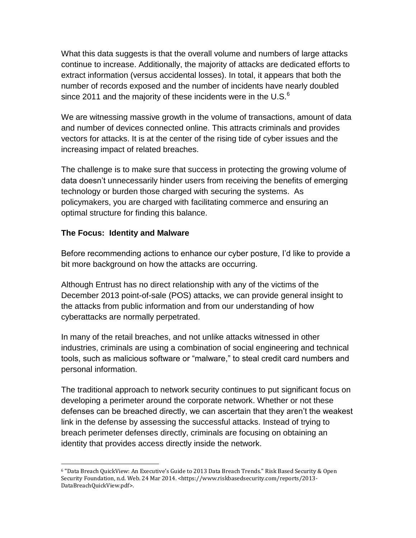What this data suggests is that the overall volume and numbers of large attacks continue to increase. Additionally, the majority of attacks are dedicated efforts to extract information (versus accidental losses). In total, it appears that both the number of records exposed and the number of incidents have nearly doubled since 2011 and the majority of these incidents were in the U.S.<sup>6</sup>

We are witnessing massive growth in the volume of transactions, amount of data and number of devices connected online. This attracts criminals and provides vectors for attacks. It is at the center of the rising tide of cyber issues and the increasing impact of related breaches.

The challenge is to make sure that success in protecting the growing volume of data doesn't unnecessarily hinder users from receiving the benefits of emerging technology or burden those charged with securing the systems. As policymakers, you are charged with facilitating commerce and ensuring an optimal structure for finding this balance.

#### **The Focus: Identity and Malware**

Before recommending actions to enhance our cyber posture, I'd like to provide a bit more background on how the attacks are occurring.

Although Entrust has no direct relationship with any of the victims of the December 2013 point-of-sale (POS) attacks, we can provide general insight to the attacks from public information and from our understanding of how cyberattacks are normally perpetrated.

In many of the retail breaches, and not unlike attacks witnessed in other industries, criminals are using a combination of social engineering and technical tools, such as malicious software or "malware," to steal credit card numbers and personal information.

The traditional approach to network security continues to put significant focus on developing a perimeter around the corporate network. Whether or not these defenses can be breached directly, we can ascertain that they aren't the weakest link in the defense by assessing the successful attacks. Instead of trying to breach perimeter defenses directly, criminals are focusing on obtaining an identity that provides access directly inside the network.

l <sup>6</sup> "Data Breach QuickView: An Executive's Guide to 2013 Data Breach Trends." Risk Based Security & Open Security Foundation, n.d. Web. 24 Mar 2014. <https://www.riskbasedsecurity.com/reports/2013- DataBreachQuickView.pdf>.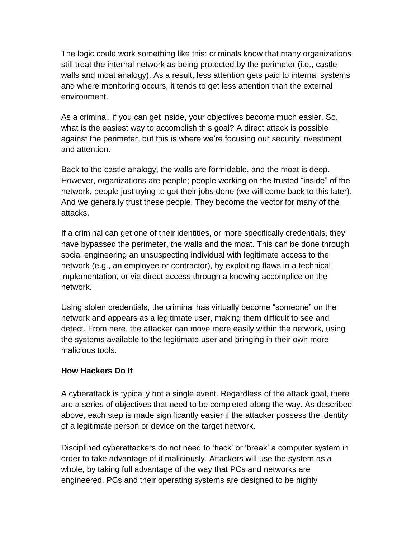The logic could work something like this: criminals know that many organizations still treat the internal network as being protected by the perimeter (i.e., castle walls and moat analogy). As a result, less attention gets paid to internal systems and where monitoring occurs, it tends to get less attention than the external environment.

As a criminal, if you can get inside, your objectives become much easier. So, what is the easiest way to accomplish this goal? A direct attack is possible against the perimeter, but this is where we're focusing our security investment and attention.

Back to the castle analogy, the walls are formidable, and the moat is deep. However, organizations are people; people working on the trusted "inside" of the network, people just trying to get their jobs done (we will come back to this later). And we generally trust these people. They become the vector for many of the attacks.

If a criminal can get one of their identities, or more specifically credentials, they have bypassed the perimeter, the walls and the moat. This can be done through social engineering an unsuspecting individual with legitimate access to the network (e.g., an employee or contractor), by exploiting flaws in a technical implementation, or via direct access through a knowing accomplice on the network.

Using stolen credentials, the criminal has virtually become "someone" on the network and appears as a legitimate user, making them difficult to see and detect. From here, the attacker can move more easily within the network, using the systems available to the legitimate user and bringing in their own more malicious tools.

### **How Hackers Do It**

A cyberattack is typically not a single event. Regardless of the attack goal, there are a series of objectives that need to be completed along the way. As described above, each step is made significantly easier if the attacker possess the identity of a legitimate person or device on the target network.

Disciplined cyberattackers do not need to 'hack' or 'break' a computer system in order to take advantage of it maliciously. Attackers will use the system as a whole, by taking full advantage of the way that PCs and networks are engineered. PCs and their operating systems are designed to be highly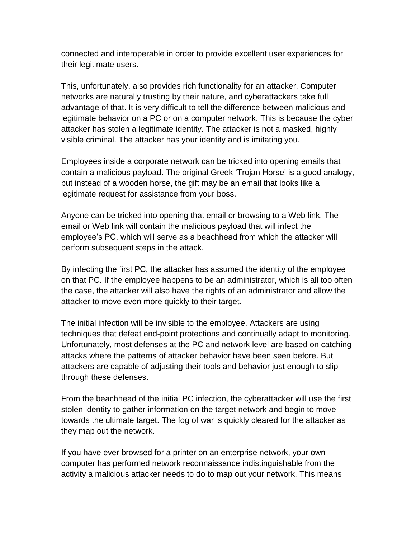connected and interoperable in order to provide excellent user experiences for their legitimate users.

This, unfortunately, also provides rich functionality for an attacker. Computer networks are naturally trusting by their nature, and cyberattackers take full advantage of that. It is very difficult to tell the difference between malicious and legitimate behavior on a PC or on a computer network. This is because the cyber attacker has stolen a legitimate identity. The attacker is not a masked, highly visible criminal. The attacker has your identity and is imitating you.

Employees inside a corporate network can be tricked into opening emails that contain a malicious payload. The original Greek 'Trojan Horse' is a good analogy, but instead of a wooden horse, the gift may be an email that looks like a legitimate request for assistance from your boss.

Anyone can be tricked into opening that email or browsing to a Web link. The email or Web link will contain the malicious payload that will infect the employee's PC, which will serve as a beachhead from which the attacker will perform subsequent steps in the attack.

By infecting the first PC, the attacker has assumed the identity of the employee on that PC. If the employee happens to be an administrator, which is all too often the case, the attacker will also have the rights of an administrator and allow the attacker to move even more quickly to their target.

The initial infection will be invisible to the employee. Attackers are using techniques that defeat end-point protections and continually adapt to monitoring. Unfortunately, most defenses at the PC and network level are based on catching attacks where the patterns of attacker behavior have been seen before. But attackers are capable of adjusting their tools and behavior just enough to slip through these defenses.

From the beachhead of the initial PC infection, the cyberattacker will use the first stolen identity to gather information on the target network and begin to move towards the ultimate target. The fog of war is quickly cleared for the attacker as they map out the network.

If you have ever browsed for a printer on an enterprise network, your own computer has performed network reconnaissance indistinguishable from the activity a malicious attacker needs to do to map out your network. This means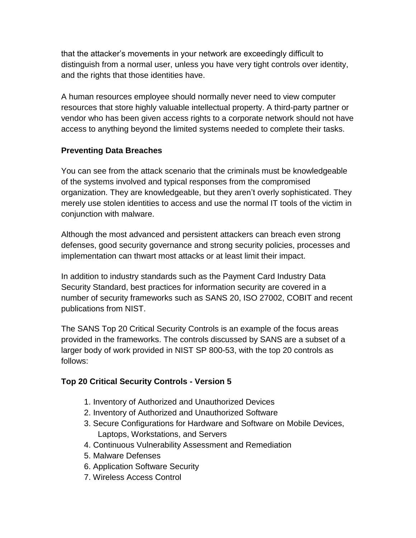that the attacker's movements in your network are exceedingly difficult to distinguish from a normal user, unless you have very tight controls over identity, and the rights that those identities have.

A human resources employee should normally never need to view computer resources that store highly valuable intellectual property. A third-party partner or vendor who has been given access rights to a corporate network should not have access to anything beyond the limited systems needed to complete their tasks.

### **Preventing Data Breaches**

You can see from the attack scenario that the criminals must be knowledgeable of the systems involved and typical responses from the compromised organization. They are knowledgeable, but they aren't overly sophisticated. They merely use stolen identities to access and use the normal IT tools of the victim in conjunction with malware.

Although the most advanced and persistent attackers can breach even strong defenses, good security governance and strong security policies, processes and implementation can thwart most attacks or at least limit their impact.

In addition to industry standards such as the Payment Card Industry Data Security Standard, best practices for information security are covered in a number of security frameworks such as SANS 20, ISO 27002, COBIT and recent publications from NIST.

The SANS Top 20 Critical Security Controls is an example of the focus areas provided in the frameworks. The controls discussed by SANS are a subset of a larger body of work provided in NIST SP 800-53, with the top 20 controls as follows:

# **Top 20 Critical Security Controls - Version 5**

- 1. Inventory of Authorized and Unauthorized Devices
- 2. Inventory of Authorized and Unauthorized Software
- 3. Secure Configurations for Hardware and Software on Mobile Devices, Laptops, Workstations, and Servers
- 4. Continuous Vulnerability Assessment and Remediation
- 5. Malware Defenses
- 6. Application Software Security
- 7. Wireless Access Control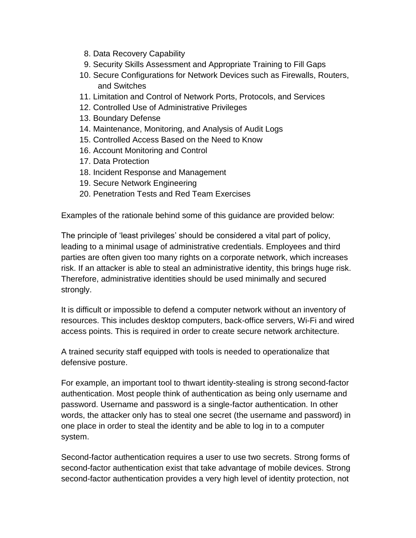- 8. Data Recovery Capability
- 9. Security Skills Assessment and Appropriate Training to Fill Gaps
- 10. Secure Configurations for Network Devices such as Firewalls, Routers, and Switches
- 11. Limitation and Control of Network Ports, Protocols, and Services
- 12. Controlled Use of Administrative Privileges
- 13. Boundary Defense
- 14. Maintenance, Monitoring, and Analysis of Audit Logs
- 15. Controlled Access Based on the Need to Know
- 16. Account Monitoring and Control
- 17. Data Protection
- 18. Incident Response and Management
- 19. Secure Network Engineering
- 20. Penetration Tests and Red Team Exercises

Examples of the rationale behind some of this guidance are provided below:

The principle of 'least privileges' should be considered a vital part of policy, leading to a minimal usage of administrative credentials. Employees and third parties are often given too many rights on a corporate network, which increases risk. If an attacker is able to steal an administrative identity, this brings huge risk. Therefore, administrative identities should be used minimally and secured strongly.

It is difficult or impossible to defend a computer network without an inventory of resources. This includes desktop computers, back-office servers, Wi-Fi and wired access points. This is required in order to create secure network architecture.

A trained security staff equipped with tools is needed to operationalize that defensive posture.

For example, an important tool to thwart identity-stealing is strong second-factor authentication. Most people think of authentication as being only username and password. Username and password is a single-factor authentication. In other words, the attacker only has to steal one secret (the username and password) in one place in order to steal the identity and be able to log in to a computer system.

Second-factor authentication requires a user to use two secrets. Strong forms of second-factor authentication exist that take advantage of mobile devices. Strong second-factor authentication provides a very high level of identity protection, not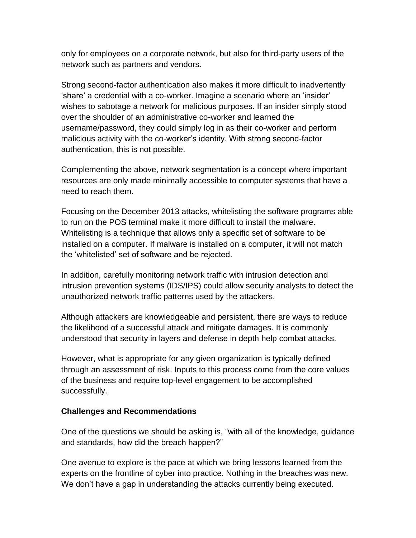only for employees on a corporate network, but also for third-party users of the network such as partners and vendors.

Strong second-factor authentication also makes it more difficult to inadvertently 'share' a credential with a co-worker. Imagine a scenario where an 'insider' wishes to sabotage a network for malicious purposes. If an insider simply stood over the shoulder of an administrative co-worker and learned the username/password, they could simply log in as their co-worker and perform malicious activity with the co-worker's identity. With strong second-factor authentication, this is not possible.

Complementing the above, network segmentation is a concept where important resources are only made minimally accessible to computer systems that have a need to reach them.

Focusing on the December 2013 attacks, whitelisting the software programs able to run on the POS terminal make it more difficult to install the malware. Whitelisting is a technique that allows only a specific set of software to be installed on a computer. If malware is installed on a computer, it will not match the 'whitelisted' set of software and be rejected.

In addition, carefully monitoring network traffic with intrusion detection and intrusion prevention systems (IDS/IPS) could allow security analysts to detect the unauthorized network traffic patterns used by the attackers.

Although attackers are knowledgeable and persistent, there are ways to reduce the likelihood of a successful attack and mitigate damages. It is commonly understood that security in layers and defense in depth help combat attacks.

However, what is appropriate for any given organization is typically defined through an assessment of risk. Inputs to this process come from the core values of the business and require top-level engagement to be accomplished successfully.

#### **Challenges and Recommendations**

One of the questions we should be asking is, "with all of the knowledge, guidance and standards, how did the breach happen?"

One avenue to explore is the pace at which we bring lessons learned from the experts on the frontline of cyber into practice. Nothing in the breaches was new. We don't have a gap in understanding the attacks currently being executed.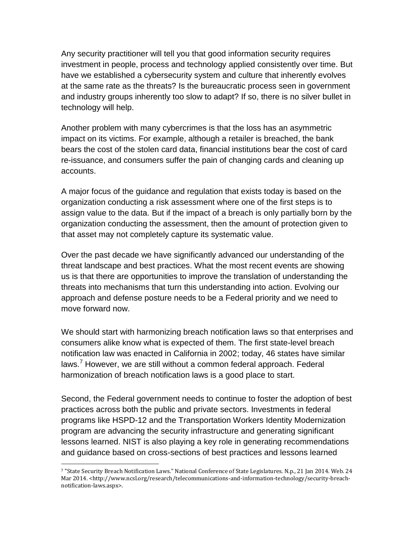Any security practitioner will tell you that good information security requires investment in people, process and technology applied consistently over time. But have we established a cybersecurity system and culture that inherently evolves at the same rate as the threats? Is the bureaucratic process seen in government and industry groups inherently too slow to adapt? If so, there is no silver bullet in technology will help.

Another problem with many cybercrimes is that the loss has an asymmetric impact on its victims. For example, although a retailer is breached, the bank bears the cost of the stolen card data, financial institutions bear the cost of card re-issuance, and consumers suffer the pain of changing cards and cleaning up accounts.

A major focus of the guidance and regulation that exists today is based on the organization conducting a risk assessment where one of the first steps is to assign value to the data. But if the impact of a breach is only partially born by the organization conducting the assessment, then the amount of protection given to that asset may not completely capture its systematic value.

Over the past decade we have significantly advanced our understanding of the threat landscape and best practices. What the most recent events are showing us is that there are opportunities to improve the translation of understanding the threats into mechanisms that turn this understanding into action. Evolving our approach and defense posture needs to be a Federal priority and we need to move forward now.

We should start with harmonizing breach notification laws so that enterprises and consumers alike know what is expected of them. The first state-level breach notification law was enacted in California in 2002; today, 46 states have similar laws.<sup>7</sup> However, we are still without a common federal approach. Federal harmonization of breach notification laws is a good place to start.

Second, the Federal government needs to continue to foster the adoption of best practices across both the public and private sectors. Investments in federal programs like HSPD-12 and the Transportation Workers Identity Modernization program are advancing the security infrastructure and generating significant lessons learned. NIST is also playing a key role in generating recommendations and guidance based on cross-sections of best practices and lessons learned

l

<sup>7</sup> "State Security Breach Notification Laws." National Conference of State Legislatures. N.p., 21 Jan 2014. Web. 24 Mar 2014. <http://www.ncsl.org/research/telecommunications-and-information-technology/security-breachnotification-laws.aspx>.